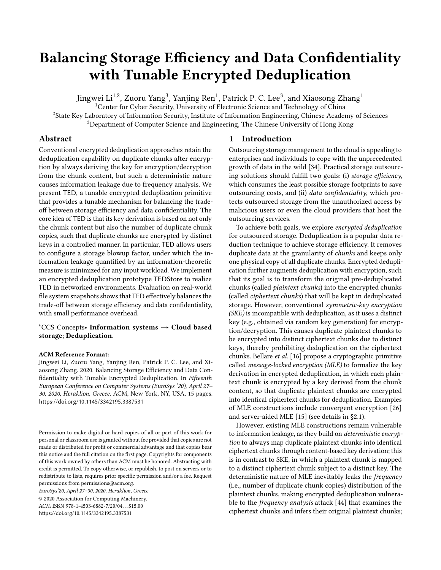# Balancing Storage Efficiency and Data Confidentiality with Tunable Encrypted Deduplication

Jingwei  $\mathrm{Li}^{1,2}$ , Zuoru Yang $^3$ , Yanjing Ren $^1$ , Patrick P. C. Lee $^3$ , and Xiaosong Zhang $^1$ 

<sup>1</sup>Center for Cyber Security, University of Electronic Science and Technology of China

<sup>2</sup>State Key Laboratory of Information Security, Institute of Information Engineering, Chinese Academy of Sciences <sup>3</sup>Department of Computer Science and Engineering, The Chinese University of Hong Kong

## Abstract

Conventional encrypted deduplication approaches retain the deduplication capability on duplicate chunks after encryption by always deriving the key for encryption/decryption from the chunk content, but such a deterministic nature causes information leakage due to frequency analysis. We present TED, a tunable encrypted deduplication primitive that provides a tunable mechanism for balancing the tradeoff between storage efficiency and data confidentiality. The core idea of TED is that its key derivation is based on not only the chunk content but also the number of duplicate chunk copies, such that duplicate chunks are encrypted by distinct keys in a controlled manner. In particular, TED allows users to configure a storage blowup factor, under which the information leakage quantified by an information-theoretic measure is minimized for any input workload. We implement an encrypted deduplication prototype TEDStore to realize TED in networked environments. Evaluation on real-world file system snapshots shows that TED effectively balances the trade-off between storage efficiency and data confidentiality, with small performance overhead.

## \*CCS Concepts• Information systems  $\rightarrow$  Cloud based storage; Deduplication.

## ACM Reference Format:

Jingwei Li, Zuoru Yang, Yanjing Ren, Patrick P. C. Lee, and Xiaosong Zhang. 2020. Balancing Storage Efficiency and Data Confidentiality with Tunable Encrypted Deduplication. In Fifteenth European Conference on Computer Systems (EuroSys '20), April 27– 30, 2020, Heraklion, Greece. ACM, New York, NY, USA, [15](#page-14-0) pages. <https://doi.org/10.1145/3342195.3387531>

EuroSys'20, April 27–30, 2020, Heraklion, Greece

© 2020 Association for Computing Machinery. ACM ISBN 978-1-4503-6882-7/20/04. . . \$15.00 <https://doi.org/10.1145/3342195.3387531>

# <span id="page-0-0"></span>1 Introduction

Outsourcing storage management to the cloud is appealing to enterprises and individuals to cope with the unprecedented growth of data in the wild [\[34\]](#page-13-0). Practical storage outsourcing solutions should fulfill two goals: (i) storage efficiency, which consumes the least possible storage footprints to save outsourcing costs, and (ii) data confidentiality, which protects outsourced storage from the unauthorized access by malicious users or even the cloud providers that host the outsourcing services.

To achieve both goals, we explore encrypted deduplication for outsourced storage. Deduplication is a popular data reduction technique to achieve storage efficiency. It removes duplicate data at the granularity of *chunks* and keeps only one physical copy of all duplicate chunks. Encrypted deduplication further augments deduplication with encryption, such that its goal is to transform the original pre-deduplicated chunks (called plaintext chunks) into the encrypted chunks (called ciphertext chunks) that will be kept in deduplicated storage. However, conventional symmetric-key encryption (SKE) is incompatible with deduplication, as it uses a distinct key (e.g., obtained via random key generation) for encryption/decryption. This causes duplicate plaintext chunks to be encrypted into distinct ciphertext chunks due to distinct keys, thereby prohibiting deduplication on the ciphertext chunks. Bellare et al. [\[16\]](#page-13-1) propose a cryptographic primitive called message-locked encryption (MLE) to formalize the key derivation in encrypted deduplication, in which each plaintext chunk is encrypted by a key derived from the chunk content, so that duplicate plaintext chunks are encrypted into identical ciphertext chunks for deduplication. Examples of MLE constructions include convergent encryption [\[26\]](#page-13-2) and server-aided MLE [\[15\]](#page-13-3) (see details in [§2.1\)](#page-1-0).

However, existing MLE constructions remain vulnerable to information leakage, as they build on deterministic encryption to always map duplicate plaintext chunks into identical ciphertext chunks through content-based key derivation; this is in contrast to SKE, in which a plaintext chunk is mapped to a distinct ciphertext chunk subject to a distinct key. The deterministic nature of MLE inevitably leaks the frequency (i.e., number of duplicate chunk copies) distribution of the plaintext chunks, making encrypted deduplication vulnerable to the frequency analysis attack [\[44\]](#page-14-1) that examines the ciphertext chunks and infers their original plaintext chunks;

Permission to make digital or hard copies of all or part of this work for personal or classroom use is granted without fee provided that copies are not made or distributed for profit or commercial advantage and that copies bear this notice and the full citation on the first page. Copyrights for components of this work owned by others than ACM must be honored. Abstracting with credit is permitted. To copy otherwise, or republish, to post on servers or to redistribute to lists, requires prior specific permission and/or a fee. Request permissions from permissions@acm.org.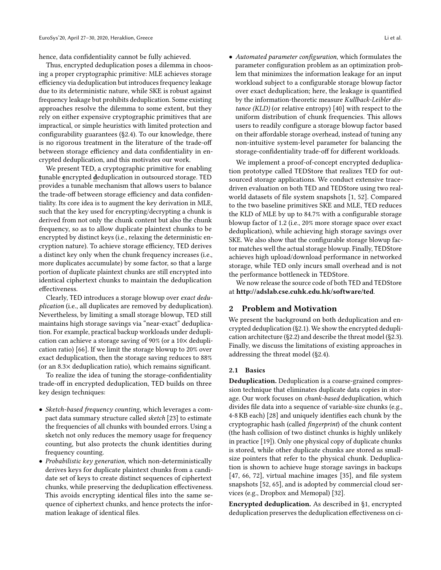hence, data confidentiality cannot be fully achieved.

Thus, encrypted deduplication poses a dilemma in choosing a proper cryptographic primitive: MLE achieves storage efficiency via deduplication but introduces frequency leakage due to its deterministic nature, while SKE is robust against frequency leakage but prohibits deduplication. Some existing approaches resolve the dilemma to some extent, but they rely on either expensive cryptographic primitives that are impractical, or simple heuristics with limited protection and configurability guarantees ([§2.4\)](#page-3-0). To our knowledge, there is no rigorous treatment in the literature of the trade-off between storage efficiency and data confidentiality in encrypted deduplication, and this motivates our work.

We present TED, a cryptographic primitive for enabling tunable encrypted deduplication in outsourced storage. TED provides a tunable mechanism that allows users to balance the trade-off between storage efficiency and data confidentiality. Its core idea is to augment the key derivation in MLE, such that the key used for encrypting/decrypting a chunk is derived from not only the chunk content but also the chunk frequency, so as to allow duplicate plaintext chunks to be encrypted by distinct keys (i.e., relaxing the deterministic encryption nature). To achieve storage efficiency, TED derives a distinct key only when the chunk frequency increases (i.e., more duplicates accumulate) by some factor, so that a large portion of duplicate plaintext chunks are still encrypted into identical ciphertext chunks to maintain the deduplication effectiveness.

Clearly, TED introduces a storage blowup over exact deduplication (i.e., all duplicates are removed by deduplication). Nevertheless, by limiting a small storage blowup, TED still maintains high storage savings via "near-exact" deduplication. For example, practical backup workloads under deduplication can achieve a storage saving of 90% (or a 10× deduplication ratio) [\[66\]](#page-14-2). If we limit the storage blowup to 20% over exact deduplication, then the storage saving reduces to 88% (or an 8.3× deduplication ratio), which remains significant.

To realize the idea of tuning the storage-confidentiality trade-off in encrypted deduplication, TED builds on three key design techniques:

- Sketch-based frequency counting, which leverages a compact data summary structure called sketch [\[23\]](#page-13-4) to estimate the frequencies of all chunks with bounded errors. Using a sketch not only reduces the memory usage for frequency counting, but also protects the chunk identities during frequency counting.
- Probabilistic key generation, which non-deterministically derives keys for duplicate plaintext chunks from a candidate set of keys to create distinct sequences of ciphertext chunks, while preserving the deduplication effectiveness. This avoids encrypting identical files into the same sequence of ciphertext chunks, and hence protects the information leakage of identical files.

• Automated parameter configuration, which formulates the parameter configuration problem as an optimization problem that minimizes the information leakage for an input workload subject to a configurable storage blowup factor over exact deduplication; here, the leakage is quantified by the information-theoretic measure Kullback-Leibler distance (KLD) (or relative entropy) [\[40\]](#page-14-3) with respect to the uniform distribution of chunk frequencies. This allows users to readily configure a storage blowup factor based

We implement a proof-of-concept encrypted deduplication prototype called TEDStore that realizes TED for outsourced storage applications. We conduct extensive tracedriven evaluation on both TED and TEDStore using two realworld datasets of file system snapshots [\[1,](#page-13-5) [52\]](#page-14-4). Compared to the two baseline primitives SKE and MLE, TED reduces the KLD of MLE by up to 84.7% with a configurable storage blowup factor of 1.2 (i.e., 20% more storage space over exact deduplication), while achieving high storage savings over SKE. We also show that the configurable storage blowup factor matches well the actual storage blowup. Finally, TEDStore achieves high upload/download performance in networked storage, while TED only incurs small overhead and is not the performance bottleneck in TEDStore.

on their affordable storage overhead, instead of tuning any non-intuitive system-level parameter for balancing the storage-confidentiality trade-off for different workloads.

We now release the source code of both TED and TEDStore at <http://adslab.cse.cuhk.edu.hk/software/ted>.

## 2 Problem and Motivation

We present the background on both deduplication and encrypted deduplication ([§2.1\)](#page-1-0). We show the encrypted deduplication architecture ([§2.2\)](#page-2-0) and describe the threat model ([§2.3\)](#page-3-1). Finally, we discuss the limitations of existing approaches in addressing the threat model ([§2.4\)](#page-3-0).

#### <span id="page-1-0"></span>2.1 Basics

Deduplication. Deduplication is a coarse-grained compression technique that eliminates duplicate data copies in storage. Our work focuses on chunk-based deduplication, which divides file data into a sequence of variable-size chunks (e.g., 4-8 KB each) [\[28\]](#page-13-6) and uniquely identifies each chunk by the cryptographic hash (called fingerprint) of the chunk content (the hash collision of two distinct chunks is highly unlikely in practice [\[19\]](#page-13-7)). Only one physical copy of duplicate chunks is stored, while other duplicate chunks are stored as smallsize pointers that refer to the physical chunk. Deduplication is shown to achieve huge storage savings in backups [\[47,](#page-14-5) [66,](#page-14-2) [72\]](#page-14-6), virtual machine images [\[35\]](#page-13-8), and file system snapshots [\[52,](#page-14-4) [65\]](#page-14-7), and is adopted by commercial cloud services (e.g., Dropbox and Memopal) [\[32\]](#page-13-9).

Encrypted deduplication. As described in [§1,](#page-0-0) encrypted deduplication preserves the deduplication effectiveness on ci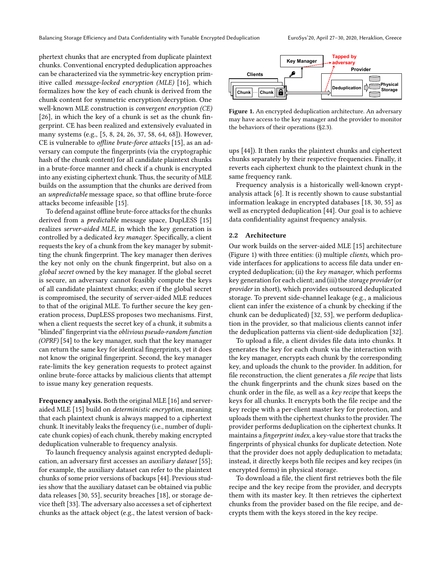phertext chunks that are encrypted from duplicate plaintext chunks. Conventional encrypted deduplication approaches can be characterized via the symmetric-key encryption primitive called message-locked encryption (MLE) [\[16\]](#page-13-1), which formalizes how the key of each chunk is derived from the chunk content for symmetric encryption/decryption. One well-known MLE construction is convergent encryption (CE) [\[26\]](#page-13-2), in which the key of a chunk is set as the chunk fingerprint. CE has been realized and extensively evaluated in many systems (e.g., [\[5,](#page-13-10) [8,](#page-13-11) [24,](#page-13-12) [26,](#page-13-2) [37,](#page-13-13) [58,](#page-14-8) [64,](#page-14-9) [68\]](#page-14-10)). However, CE is vulnerable to offline brute-force attacks [\[15\]](#page-13-3), as an adversary can compute the fingerprints (via the cryptographic hash of the chunk content) for all candidate plaintext chunks in a brute-force manner and check if a chunk is encrypted into any existing ciphertext chunk. Thus, the security of MLE builds on the assumption that the chunks are derived from an unpredictable message space, so that offline brute-force attacks become infeasible [\[15\]](#page-13-3).

To defend against offline brute-force attacks for the chunks derived from a predictable message space, DupLESS [\[15\]](#page-13-3) realizes server-aided MLE, in which the key generation is controlled by a dedicated key manager. Specifically, a client requests the key of a chunk from the key manager by submitting the chunk fingerprint. The key manager then derives the key not only on the chunk fingerprint, but also on a global secret owned by the key manager. If the global secret is secure, an adversary cannot feasibly compute the keys of all candidate plaintext chunks; even if the global secret is compromised, the security of server-aided MLE reduces to that of the original MLE. To further secure the key generation process, DupLESS proposes two mechanisms. First, when a client requests the secret key of a chunk, it submits a "blinded" fingerprint via the oblivious pseudo-random function (OPRF) [\[54\]](#page-14-11) to the key manager, such that the key manager can return the same key for identical fingerprints, yet it does not know the original fingerprint. Second, the key manager rate-limits the key generation requests to protect against online brute-force attacks by malicious clients that attempt to issue many key generation requests.

Frequency analysis. Both the original MLE [\[16\]](#page-13-1) and serveraided MLE [\[15\]](#page-13-3) build on deterministic encryption, meaning that each plaintext chunk is always mapped to a ciphertext chunk. It inevitably leaks the frequency (i.e., number of duplicate chunk copies) of each chunk, thereby making encrypted deduplication vulnerable to frequency analysis.

To launch frequency analysis against encrypted deduplication, an adversary first accesses an auxiliary dataset [\[55\]](#page-14-12); for example, the auxiliary dataset can refer to the plaintext chunks of some prior versions of backups [\[44\]](#page-14-1). Previous studies show that the auxiliary dataset can be obtained via public data releases [\[30,](#page-13-14) [55\]](#page-14-12), security breaches [\[18\]](#page-13-15), or storage device theft [\[33\]](#page-13-16). The adversary also accesses a set of ciphertext chunks as the attack object (e.g., the latest version of back-

<span id="page-2-1"></span>

Figure 1. An encrypted deduplication architecture. An adversary may have access to the key manager and the provider to monitor the behaviors of their operations ([§2.3\)](#page-3-1).

ups [\[44\]](#page-14-1)). It then ranks the plaintext chunks and ciphertext chunks separately by their respective frequencies. Finally, it reverts each ciphertext chunk to the plaintext chunk in the same frequency rank.

Frequency analysis is a historically well-known cryptanalysis attack [\[6\]](#page-13-17). It is recently shown to cause substantial information leakage in encrypted databases [\[18,](#page-13-15) [30,](#page-13-14) [55\]](#page-14-12) as well as encrypted deduplication [\[44\]](#page-14-1). Our goal is to achieve data confidentiality against frequency analysis.

#### <span id="page-2-0"></span>2.2 Architecture

Our work builds on the server-aided MLE [\[15\]](#page-13-3) architecture (Figure [1\)](#page-2-1) with three entities: (i) multiple clients, which provide interfaces for applications to access file data under encrypted deduplication; (ii) the key manager, which performs key generation for each client; and (iii) the storage provider(or provider in short), which provides outsourced deduplicated storage. To prevent side-channel leakage (e.g., a malicious client can infer the existence of a chunk by checking if the chunk can be deduplicated) [\[32,](#page-13-9) [53\]](#page-14-13), we perform deduplication in the provider, so that malicious clients cannot infer the deduplication patterns via client-side deduplication [\[32\]](#page-13-9).

To upload a file, a client divides file data into chunks. It generates the key for each chunk via the interaction with the key manager, encrypts each chunk by the corresponding key, and uploads the chunk to the provider. In addition, for file reconstruction, the client generates a file recipe that lists the chunk fingerprints and the chunk sizes based on the chunk order in the file, as well as a key recipe that keeps the keys for all chunks. It encrypts both the file recipe and the key recipe with a per-client master key for protection, and uploads them with the ciphertext chunks to the provider. The provider performs deduplication on the ciphertext chunks. It maintains a fingerprint index, a key-value store that tracks the fingerprints of physical chunks for duplicate detection. Note that the provider does not apply deduplication to metadata; instead, it directly keeps both file recipes and key recipes (in encrypted forms) in physical storage.

To download a file, the client first retrieves both the file recipe and the key recipe from the provider, and decrypts them with its master key. It then retrieves the ciphertext chunks from the provider based on the file recipe, and decrypts them with the keys stored in the key recipe.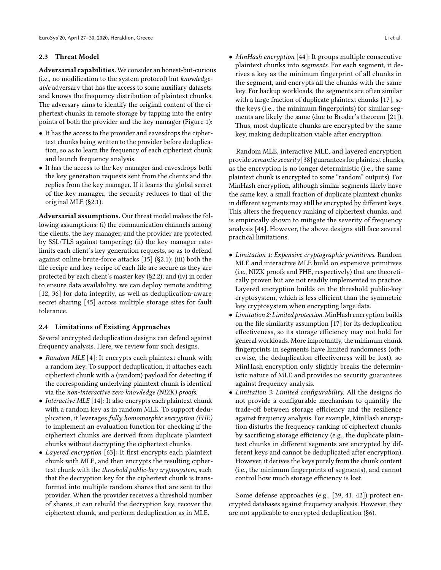#### <span id="page-3-1"></span>2.3 Threat Model

Adversarial capabilities. We consider an honest-but-curious (i.e., no modification to the system protocol) but knowledgeable adversary that has the access to some auxiliary datasets and knows the frequency distribution of plaintext chunks. The adversary aims to identify the original content of the ciphertext chunks in remote storage by tapping into the entry points of both the provider and the key manager (Figure [1\)](#page-2-1):

- It has the access to the provider and eavesdrops the ciphertext chunks being written to the provider before deduplication, so as to learn the frequency of each ciphertext chunk and launch frequency analysis.
- It has the access to the key manager and eavesdrops both the key generation requests sent from the clients and the replies from the key manager. If it learns the global secret of the key manager, the security reduces to that of the original MLE ([§2.1\)](#page-1-0).

Adversarial assumptions. Our threat model makes the following assumptions: (i) the communication channels among the clients, the key manager, and the provider are protected by SSL/TLS against tampering; (ii) the key manager ratelimits each client's key generation requests, so as to defend against online brute-force attacks [\[15\]](#page-13-3) ([§2.1\)](#page-1-0); (iii) both the file recipe and key recipe of each file are secure as they are protected by each client's master key ([§2.2\)](#page-2-0); and (iv) in order to ensure data availability, we can deploy remote auditing [\[12,](#page-13-18) [36\]](#page-13-19) for data integrity, as well as deduplication-aware secret sharing [\[45\]](#page-14-14) across multiple storage sites for fault tolerance.

#### <span id="page-3-0"></span>2.4 Limitations of Existing Approaches

Several encrypted deduplication designs can defend against frequency analysis. Here, we review four such designs.

- Random MLE [\[4\]](#page-13-20): It encrypts each plaintext chunk with a random key. To support deduplication, it attaches each ciphertext chunk with a (random) payload for detecting if the corresponding underlying plaintext chunk is identical via the non-interactive zero knowledge (NIZK) proofs.
- Interactive MLE [\[14\]](#page-13-21): It also encrypts each plaintext chunk with a random key as in random MLE. To support deduplication, it leverages fully homomorphic encryption (FHE) to implement an evaluation function for checking if the ciphertext chunks are derived from duplicate plaintext chunks without decrypting the ciphertext chunks.
- Layered encryption [\[63\]](#page-14-15): It first encrypts each plaintext chunk with MLE, and then encrypts the resulting ciphertext chunk with the threshold public-key cryptosystem, such that the decryption key for the ciphertext chunk is transformed into multiple random shares that are sent to the provider. When the provider receives a threshold number of shares, it can rebuild the decryption key, recover the ciphertext chunk, and perform deduplication as in MLE.

• MinHash encryption [\[44\]](#page-14-1): It groups multiple consecutive plaintext chunks into segments. For each segment, it derives a key as the minimum fingerprint of all chunks in the segment, and encrypts all the chunks with the same key. For backup workloads, the segments are often similar with a large fraction of duplicate plaintext chunks [\[17\]](#page-13-22), so the keys (i.e., the minimum fingerprints) for similar segments are likely the same (due to Broder's theorem [\[21\]](#page-13-23)). Thus, most duplicate chunks are encrypted by the same key, making deduplication viable after encryption.

Random MLE, interactive MLE, and layered encryption provide semantic security [\[38\]](#page-14-16) guarantees for plaintext chunks, as the encryption is no longer deterministic (i.e., the same plaintext chunk is encrypted to some "random" outputs). For MinHash encryption, although similar segments likely have the same key, a small fraction of duplicate plaintext chunks in different segments may still be encrypted by different keys. This alters the frequency ranking of ciphertext chunks, and is empirically shown to mitigate the severity of frequency analysis [\[44\]](#page-14-1). However, the above designs still face several practical limitations.

- Limitation 1: Expensive cryptographic primitives. Random MLE and interactive MLE build on expensive primitives (i.e., NIZK proofs and FHE, respectively) that are theoretically proven but are not readily implemented in practice. Layered encryption builds on the threshold public-key cryptosystem, which is less efficient than the symmetric key cryptosystem when encrypting large data.
- Limitation 2: Limited protection. MinHash encryption builds on the file similarity assumption [\[17\]](#page-13-22) for its deduplication effectiveness, so its storage efficiency may not hold for general workloads. More importantly, the minimum chunk fingerprints in segments have limited randomness (otherwise, the deduplication effectiveness will be lost), so MinHash encryption only slightly breaks the deterministic nature of MLE and provides no security guarantees against frequency analysis.
- Limitation 3: Limited configurability. All the designs do not provide a configurable mechanism to quantify the trade-off between storage efficiency and the resilience against frequency analysis. For example, MinHash encryption disturbs the frequency ranking of ciphertext chunks by sacrificing storage efficiency (e.g., the duplicate plaintext chunks in different segments are encrypted by different keys and cannot be deduplicated after encryption). However, it derives the keys purely from the chunk content (i.e., the minimum fingerprints of segments), and cannot control how much storage efficiency is lost.

Some defense approaches (e.g., [\[39,](#page-14-17) [41,](#page-14-18) [42\]](#page-14-19)) protect encrypted databases against frequency analysis. However, they are not applicable to encrypted deduplication ([§6\)](#page-12-0).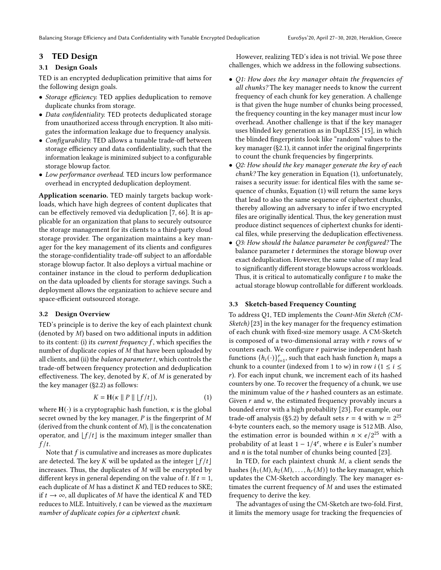Balancing Storage Efficiency and Data Confidentiality with Tunable Encrypted Deduplication EuroSys'20, April 27–30, 2020, Heraklion, Greece

## 3 TED Design

## 3.1 Design Goals

TED is an encrypted deduplication primitive that aims for the following design goals.

- Storage efficiency. TED applies deduplication to remove duplicate chunks from storage.
- Data confidentiality. TED protects deduplicated storage from unauthorized access through encryption. It also mitigates the information leakage due to frequency analysis.
- Configurability. TED allows a tunable trade-off between storage efficiency and data confidentiality, such that the information leakage is minimized subject to a configurable storage blowup factor.
- Low performance overhead. TED incurs low performance overhead in encrypted deduplication deployment.

Application scenario. TED mainly targets backup workloads, which have high degrees of content duplicates that can be effectively removed via deduplication [\[7,](#page-13-24) [66\]](#page-14-2). It is applicable for an organization that plans to securely outsource the storage management for its clients to a third-party cloud storage provider. The organization maintains a key manager for the key management of its clients and configures the storage-confidentiality trade-off subject to an affordable storage blowup factor. It also deploys a virtual machine or container instance in the cloud to perform deduplication on the data uploaded by clients for storage savings. Such a deployment allows the organization to achieve secure and space-efficient outsourced storage.

#### <span id="page-4-1"></span>3.2 Design Overview

TED's principle is to derive the key of each plaintext chunk (denoted by  $M$ ) based on two additional inputs in addition to its content: (i) its *current frequency f*, which specifies the number of duplicate copies of  $M$  that have been uploaded by all clients, and (ii) the *balance parameter t*, which controls the trade-off between frequency protection and deduplication effectiveness. The key, denoted by  $K$ , of  $M$  is generated by the key manager ([§2.2\)](#page-2-0) as follows:

<span id="page-4-0"></span>
$$
K = \mathbf{H}(\kappa \parallel P \parallel \lfloor f/t \rfloor), \tag{1}
$$

where  $H(\cdot)$  is a cryptographic hash function,  $\kappa$  is the global secret owned by the key manager,  $P$  is the fingerprint of  $M$ (derived from the chunk content of  $M$ ),  $\parallel$  is the concatenation operator, and  $[f/t]$  is the maximum integer smaller than  $f/t$ .

Note that  $f$  is cumulative and increases as more duplicates are detected. The key K will be updated as the integer  $|f/t|$ increases. Thus, the duplicates of  $M$  will be encrypted by different keys in general depending on the value of t. If  $t = 1$ , each duplicate of  $M$  has a distinct  $K$  and TED reduces to SKE; if  $t \to \infty$ , all duplicates of M have the identical K and TED reduces to MLE. Intuitively,  $t$  can be viewed as the maximum number of duplicate copies for a ciphertext chunk.

However, realizing TED's idea is not trivial. We pose three challenges, which we address in the following subsections.

- Q1: How does the key manager obtain the frequencies of all chunks? The key manager needs to know the current frequency of each chunk for key generation. A challenge is that given the huge number of chunks being processed, the frequency counting in the key manager must incur low overhead. Another challenge is that if the key manager uses blinded key generation as in DupLESS [\[15\]](#page-13-3), in which the blinded fingerprints look like "random" values to the key manager ([§2.1\)](#page-1-0), it cannot infer the original fingerprints to count the chunk frequencies by fingerprints.
- Q2: How should the key manager generate the key of each chunk? The key generation in Equation [\(1\)](#page-4-0), unfortunately, raises a security issue: for identical files with the same sequence of chunks, Equation [\(1\)](#page-4-0) will return the same keys that lead to also the same sequence of ciphertext chunks, thereby allowing an adversary to infer if two encrypted files are originally identical. Thus, the key generation must produce distinct sequences of ciphertext chunks for identical files, while preserving the deduplication effectiveness.
- Q3: How should the balance parameter be configured? The balance parameter  $t$  determines the storage blowup over exact deduplication. However, the same value of  $t$  may lead to significantly different storage blowups across workloads. Thus, it is critical to automatically configure  $t$  to make the actual storage blowup controllable for different workloads.

#### <span id="page-4-2"></span>3.3 Sketch-based Frequency Counting

To address Q1, TED implements the Count-Min Sketch (CM-Sketch) [\[23\]](#page-13-4) in the key manager for the frequency estimation of each chunk with fixed-size memory usage. A CM-Sketch is composed of a two-dimensional array with  $r$  rows of  $w$ counters each. We configure  $r$  pairwise independent hash functions  $\{h_i(\cdot)\}_{i=1}^r$ , such that each hash function  $h_i$  maps a chunk to a counter (indexed from 1 to w) in row  $i$  (1  $\leq i \leq$ ). For each input chunk, we increment each of its hashed counters by one. To recover the frequency of a chunk, we use the minimum value of the  $r$  hashed counters as an estimate. Given  $r$  and  $w$ , the estimated frequency provably incurs a bounded error with a high probability [\[23\]](#page-13-4). For example, our trade-off analysis ([§5.2\)](#page-7-0) by default sets  $r = 4$  with  $w = 2^{25}$ 4-byte counters each, so the memory usage is 512 MB. Also, the estimation error is bounded within  $n \times e/2^{25}$  with a probability of at least  $1 - 1/4^e$ , where  $e$  is Euler's number and  $n$  is the total number of chunks being counted [\[23\]](#page-13-4).

In TED, for each plaintext chunk  $M$ , a client sends the hashes  $\{h_1(M), h_2(M), \ldots, h_r(M)\}$  to the key manager, which updates the CM-Sketch accordingly. The key manager estimates the current frequency of  $M$  and uses the estimated frequency to derive the key.

The advantages of using the CM-Sketch are two-fold. First, it limits the memory usage for tracking the frequencies of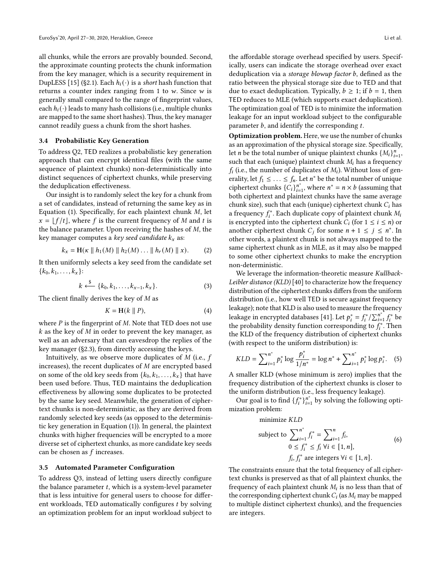all chunks, while the errors are provably bounded. Second, the approximate counting protects the chunk information from the key manager, which is a security requirement in DupLESS [\[15\]](#page-13-3) ([§2.1\)](#page-1-0). Each  $h_i(\cdot)$  is a short hash function that returns a counter index ranging from 1 to  $w$ . Since  $w$  is generally small compared to the range of fingerprint values, each  $h_i(\cdot)$  leads to many hash collisions (i.e., multiple chunks are mapped to the same short hashes). Thus, the key manager cannot readily guess a chunk from the short hashes.

#### <span id="page-5-0"></span>3.4 Probabilistic Key Generation

To address Q2, TED realizes a probabilistic key generation approach that can encrypt identical files (with the same sequence of plaintext chunks) non-deterministically into distinct sequences of ciphertext chunks, while preserving the deduplication effectiveness.

Our insight is to randomly select the key for a chunk from a set of candidates, instead of returning the same key as in Equation [\(1\)](#page-4-0). Specifically, for each plaintext chunk  $M$ , let  $x = \lfloor f/t \rfloor$ , where f is the current frequency of M and t is the balance parameter. Upon receiving the hashes of  $M$ , the key manager computes a key seed candidate  $k_x$  as:

<span id="page-5-1"></span>
$$
k_x = \mathbf{H}(\kappa \parallel h_1(M) \parallel h_2(M) \dots \parallel h_r(M) \parallel x).
$$
 (2)

It then uniformly selects a key seed from the candidate set  $\{k_0, k_1, \ldots, k_x\}$ :

$$
k \stackrel{\$}{\longleftarrow} \{k_0, k_1, \dots, k_{x-1}, k_x\}.
$$
 (3)

The client finally derives the key of  *as* 

<span id="page-5-2"></span>
$$
K = \mathbf{H}(k \parallel P),\tag{4}
$$

where  $P$  is the fingerprint of  $M$ . Note that TED does not use  $k$  as the key of  $M$  in order to prevent the key manager, as well as an adversary that can eavesdrop the replies of the key manager ([§2.3\)](#page-3-1), from directly accessing the keys.

Intuitively, as we observe more duplicates of  $M$  (i.e.,  $f$ increases), the recent duplicates of  $M$  are encrypted based on some of the old key seeds from  $\{k_0, k_1, \ldots, k_x\}$  that have been used before. Thus, TED maintains the deduplication effectiveness by allowing some duplicates to be protected by the same key seed. Meanwhile, the generation of ciphertext chunks is non-deterministic, as they are derived from randomly selected key seeds (as opposed to the deterministic key generation in Equation [\(1\)](#page-4-0)). In general, the plaintext chunks with higher frequencies will be encrypted to a more diverse set of ciphertext chunks, as more candidate key seeds can be chosen as  $f$  increases.

#### <span id="page-5-3"></span>3.5 Automated Parameter Configuration

To address Q3, instead of letting users directly configure the balance parameter  $t$ , which is a system-level parameter that is less intuitive for general users to choose for different workloads, TED automatically configures  $t$  by solving an optimization problem for an input workload subject to

the affordable storage overhead specified by users. Specifically, users can indicate the storage overhead over exact deduplication via a storage blowup factor  $b$ , defined as the ratio between the physical storage size due to TED and that due to exact deduplication. Typically,  $b \geq 1$ ; if  $b = 1$ , then TED reduces to MLE (which supports exact deduplication). The optimization goal of TED is to minimize the information leakage for an input workload subject to the configurable parameter  $b$ , and identify the corresponding  $t$ .

Optimization problem. Here, we use the number of chunks as an approximation of the physical storage size. Specifically, let *n* be the total number of unique plaintext chunks  $\{M_i\}_{i=1}^n$ , such that each (unique) plaintext chunk  $M_i$  has a frequency  $f_i$  (i.e., the number of duplicates of  $M_i$ ). Without loss of generality, let  $f_1 \leq \ldots \leq f_n$ . Let  $n^*$  be the total number of unique ciphertext chunks  ${C_i}_{i=1}^{n^*}$ , where  $n^* = n \times b$  (assuming that both ciphertext and plaintext chunks have the same average chunk size), such that each (unique) ciphertext chunk  $C_i$  has a frequency  $f_i^*$ . Each duplicate copy of plaintext chunk  $M_i$ is encrypted into the ciphertext chunk  $C_i$  (for  $1 \le i \le n$ ) or another ciphertext chunk  $C_j$  for some  $n + 1 \le j \le n^*$ . In other words, a plaintext chunk is not always mapped to the same ciphertext chunk as in MLE, as it may also be mapped to some other ciphertext chunks to make the encryption non-deterministic.

We leverage the information-theoretic measure Kullback-Leibler distance (KLD) [\[40\]](#page-14-3) to characterize how the frequency distribution of the ciphertext chunks differs from the uniform distribution (i.e., how well TED is secure against frequency leakage); note that KLD is also used to measure the frequency leakage in encrypted databases [\[41\]](#page-14-18). Let  $p_i^* = f_i^* / \sum_{i=1}^{n^*} f_i^*$  be the probability density function corresponding to  $f_i^*$ . Then the KLD of the frequency distribution of ciphertext chunks (with respect to the uniform distribution) is:

$$
KLD = \sum_{i=1}^{n^*} p_i^* \log \frac{p_i^*}{1/n^*} = \log n^* + \sum_{i=1}^{n^*} p_i^* \log p_i^*.
$$
 (5)

A smaller KLD (whose minimum is zero) implies that the frequency distribution of the ciphertext chunks is closer to the uniform distribution (i.e., less frequency leakage).

Our goal is to find  $\{f_i^*\}_{i=1}^{n^*}$  by solving the following optimization problem:

minimize KLD

subject to 
$$
\sum_{i=1}^{n^*} f_i^* = \sum_{i=1}^n f_i,
$$
  
\n
$$
0 \le f_i^* \le f_i \ \forall i \in [1, n],
$$
  
\n
$$
f_i, f_i^* \text{ are integers } \forall i \in [1, n].
$$
\n(6)

The constraints ensure that the total frequency of all ciphertext chunks is preserved as that of all plaintext chunks, the frequency of each plaintext chunk  $M_i$  is no less than that of the corresponding ciphertext chunk  $C_i$  (as  $M_i$  may be mapped to multiple distinct ciphertext chunks), and the frequencies are integers.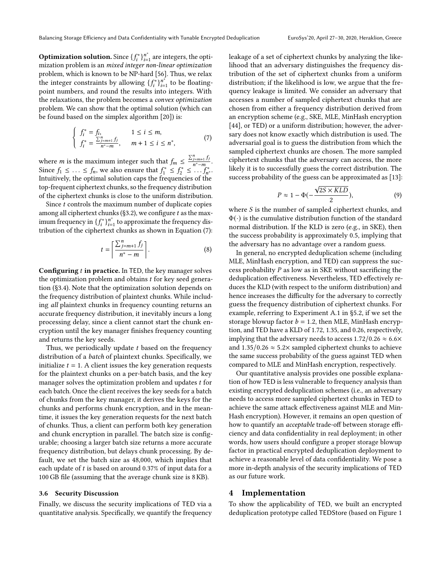**Optimization solution.** Since  $\{f_i^*\}_{i=1}^{n^*}$  are integers, the optimization problem is an mixed integer non-linear optimization problem, which is known to be NP-hard [\[56\]](#page-14-20). Thus, we relax the integer constraints by allowing  $\{f_i^*\}_{i=1}^{n^*}$  to be floatingpoint numbers, and round the results into integers. With the relaxations, the problem becomes a convex optimization problem. We can show that the optimal solution (which can be found based on the simplex algorithm [\[20\]](#page-13-25)) is:

<span id="page-6-0"></span>
$$
\begin{cases}\nf_i^* = f_i, & 1 \le i \le m, \\
f_i^* = \frac{\sum_{j=m+1}^n f_j}{n^* - m}, & m+1 \le i \le n^*,\n\end{cases} (7)
$$

where *m* is the maximum integer such that  $f_m \n\leq \frac{\sum_{j=m+1}^{n} f_j}{n^* - m}$  $\frac{m+1}{n^*-m}$ . Since  $f_1 \leq \ldots \leq f_n$ , we also ensure that  $f_1^* \leq f_2^* \leq \ldots \stackrel{n}{f_n^*}$ . Intuitively, the optimal solution caps the frequencies of the top-frequent ciphertext chunks, so the frequency distribution of the ciphertext chunks is close to the uniform distribution.

Since  $t$  controls the maximum number of duplicate copies among all ciphertext chunks ([§3.2\)](#page-4-1), we configure  $t$  as the maximum frequency in  $\{f_i^*\}_{i=1}^{n^*}$  to approximate the frequency distribution of the ciphertext chunks as shown in Equation [\(7\)](#page-6-0):

$$
t = \left\lceil \frac{\sum_{j=m+1}^{n} f_j}{n^* - m} \right\rceil. \tag{8}
$$

**Configuring**  $t$  **in practice.** In TED, the key manager solves the optimization problem and obtains  $t$  for key seed generation ([§3.4\)](#page-5-0). Note that the optimization solution depends on the frequency distribution of plaintext chunks. While including all plaintext chunks in frequency counting returns an accurate frequency distribution, it inevitably incurs a long processing delay, since a client cannot start the chunk encryption until the key manager finishes frequency counting and returns the key seeds.

Thus, we periodically update  $t$  based on the frequency distribution of a batch of plaintext chunks. Specifically, we initialize  $t = 1$ . A client issues the key generation requests for the plaintext chunks on a per-batch basis, and the key manager solves the optimization problem and updates  $t$  for each batch. Once the client receives the key seeds for a batch of chunks from the key manager, it derives the keys for the chunks and performs chunk encryption, and in the meantime, it issues the key generation requests for the next batch of chunks. Thus, a client can perform both key generation and chunk encryption in parallel. The batch size is configurable; choosing a larger batch size returns a more accurate frequency distribution, but delays chunk processing. By default, we set the batch size as 48,000, which implies that each update of  $t$  is based on around 0.37% of input data for a 100 GB file (assuming that the average chunk size is 8 KB).

#### 3.6 Security Discussion

Finally, we discuss the security implications of TED via a quantitative analysis. Specifically, we quantify the frequency leakage of a set of ciphertext chunks by analyzing the likelihood that an adversary distinguishes the frequency distribution of the set of ciphertext chunks from a uniform distribution; if the likelihood is low, we argue that the frequency leakage is limited. We consider an adversary that accesses a number of sampled ciphertext chunks that are chosen from either a frequency distribution derived from an encryption scheme (e.g., SKE, MLE, MinHash encryption [\[44\]](#page-14-1), or TED) or a uniform distribution; however, the adversary does not know exactly which distribution is used. The adversarial goal is to guess the distribution from which the sampled ciphertext chunks are chosen. The more sampled ciphertext chunks that the adversary can access, the more likely it is to successfully guess the correct distribution. The success probability of the guess can be approximated as [\[13\]](#page-13-26):

$$
P \approx 1 - \Phi(-\frac{\sqrt{2S \times KLD}}{2}),\tag{9}
$$

where  $S$  is the number of sampled ciphertext chunks, and  $\Phi(\cdot)$  is the cumulative distribution function of the standard normal distribution. If the KLD is zero (e.g., in SKE), then the success probability is approximately 0.5, implying that the adversary has no advantage over a random guess.

In general, no encrypted deduplication scheme (including MLE, MinHash encryption, and TED) can suppress the success probability  $P$  as low as in SKE without sacrificing the deduplication effectiveness. Nevertheless, TED effectively reduces the KLD (with respect to the uniform distribution) and hence increases the difficulty for the adversary to correctly guess the frequency distribution of ciphertext chunks. For example, referring to Experiment A.1 in [§5.2,](#page-7-0) if we set the storage blowup factor  $b = 1.2$ , then MLE, MinHash encryption, and TED have a KLD of 1.72, 1.35, and 0.26, respectively, implying that the adversary needs to access 1.72/0.26  $\approx$  6.6 $\times$ and  $1.35/0.26 \approx 5.2 \times$  sampled ciphertext chunks to achieve the same success probability of the guess against TED when compared to MLE and MinHash encryption, respectively.

Our quantitative analysis provides one possible explanation of how TED is less vulnerable to frequency analysis than existing encrypted deduplication schemes (i.e., an adversary needs to access more sampled ciphertext chunks in TED to achieve the same attack effectiveness against MLE and Min-Hash encryption). However, it remains an open question of how to quantify an *acceptable* trade-off between storage efficiency and data confidentiality in real deployment; in other words, how users should configure a proper storage blowup factor in practical encrypted deduplication deployment to achieve a reasonable level of data confidentiality. We pose a more in-depth analysis of the security implications of TED as our future work.

## 4 Implementation

To show the applicability of TED, we built an encrypted deduplication prototype called TEDStore (based on Figure [1](#page-2-1)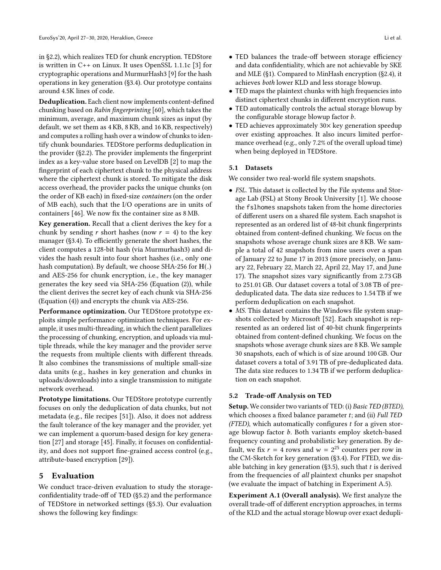in [§2.2\)](#page-2-0), which realizes TED for chunk encryption. TEDStore is written in C++ on Linux. It uses OpenSSL 1.1.1c [\[3\]](#page-13-27) for cryptographic operations and MurmurHash3 [\[9\]](#page-13-28) for the hash operations in key generation ([§3.4\)](#page-5-0). Our prototype contains around 4.5K lines of code.

Deduplication. Each client now implements content-defined chunking based on Rabin fingerprinting [\[60\]](#page-14-21), which takes the minimum, average, and maximum chunk sizes as input (by default, we set them as 4 KB, 8 KB, and 16 KB, respectively) and computes a rolling hash over a window of chunks to identify chunk boundaries. TEDStore performs deduplication in the provider ([§2.2\)](#page-2-0). The provider implements the fingerprint index as a key-value store based on LevelDB [\[2\]](#page-13-29) to map the fingerprint of each ciphertext chunk to the physical address where the ciphertext chunk is stored. To mitigate the disk access overhead, the provider packs the unique chunks (on the order of KB each) in fixed-size containers (on the order of MB each), such that the I/O operations are in units of containers [\[46\]](#page-14-22). We now fix the container size as 8 MB.

Key generation. Recall that a client derives the key for a chunk by sending *r* short hashes (now  $r = 4$ ) to the key manager ([§3.4\)](#page-5-0). To efficiently generate the short hashes, the client computes a 128-bit hash (via Murmurhash3) and divides the hash result into four short hashes (i.e., only one hash computation). By default, we choose SHA-256 for H(.) and AES-256 for chunk encryption, i.e., the key manager generates the key seed via SHA-256 (Equation [\(2\)](#page-5-1)), while the client derives the secret key of each chunk via SHA-256 (Equation [\(4\)](#page-5-2)) and encrypts the chunk via AES-256.

Performance optimization. Our TEDStore prototype exploits simple performance optimization techniques. For example, it uses multi-threading, in which the client parallelizes the processing of chunking, encryption, and uploads via multiple threads, while the key manager and the provider serve the requests from multiple clients with different threads. It also combines the transmissions of multiple small-size data units (e.g., hashes in key generation and chunks in uploads/downloads) into a single transmission to mitigate network overhead.

Prototype limitations. Our TEDStore prototype currently focuses on only the deduplication of data chunks, but not metadata (e.g., file recipes [\[51\]](#page-14-23)). Also, it does not address the fault tolerance of the key manager and the provider, yet we can implement a quorum-based design for key generation [\[27\]](#page-13-30) and storage [\[45\]](#page-14-14). Finally, it focuses on confidentiality, and does not support fine-grained access control (e.g., attribute-based encryption [\[29\]](#page-13-31)).

## 5 Evaluation

We conduct trace-driven evaluation to study the storageconfidentiality trade-off of TED ([§5.2\)](#page-7-0) and the performance of TEDStore in networked settings ([§5.3\)](#page-10-0). Our evaluation shows the following key findings:

- TED maps the plaintext chunks with high frequencies into distinct ciphertext chunks in different encryption runs.
- TED automatically controls the actual storage blowup by the configurable storage blowup factor *.*
- TED achieves approximately  $30\times$  key generation speedup over existing approaches. It also incurs limited performance overhead (e.g., only 7.2% of the overall upload time) when being deployed in TEDStore.

#### <span id="page-7-1"></span>5.1 Datasets

We consider two real-world file system snapshots.

- FSL. This dataset is collected by the File systems and Storage Lab (FSL) at Stony Brook University [\[1\]](#page-13-5). We choose the fslhomes snapshots taken from the home directories of different users on a shared file system. Each snapshot is represented as an ordered list of 48-bit chunk fingerprints obtained from content-defined chunking. We focus on the snapshots whose average chunk sizes are 8 KB. We sample a total of 42 snapshots from nine users over a span of January 22 to June 17 in 2013 (more precisely, on January 22, February 22, March 22, April 22, May 17, and June 17). The snapshot sizes vary significantly from 2.73 GB to 251.01 GB. Our dataset covers a total of 3.08 TB of prededuplicated data. The data size reduces to 1.54 TB if we perform deduplication on each snapshot.
- MS. This dataset contains the Windows file system snapshots collected by Microsoft [\[52\]](#page-14-4). Each snapshot is represented as an ordered list of 40-bit chunk fingerprints obtained from content-defined chunking. We focus on the snapshots whose average chunk sizes are 8 KB. We sample 30 snapshots, each of which is of size around 100 GB. Our dataset covers a total of 3.91 TB of pre-deduplicated data. The data size reduces to 1.34 TB if we perform deduplication on each snapshot.

## <span id="page-7-0"></span>5.2 Trade-off Analysis on TED

Setup. We consider two variants of TED: (i) Basic TED (BTED), which chooses a fixed balance parameter  $t$ ; and (ii) Full TED (FTED), which automatically configures  $t$  for a given storage blowup factor  $b$ . Both variants employ sketch-based frequency counting and probabilistic key generation. By default, we fix  $r = 4$  rows and  $w = 2^{25}$  counters per row in the CM-Sketch for key generation ([§3.4\)](#page-5-0). For FTED, we dis-able batching in key generation ([§3.5\)](#page-5-3), such that  $t$  is derived from the frequencies of all plaintext chunks per snapshot (we evaluate the impact of batching in Experiment A.5).

Experiment A.1 (Overall analysis). We first analyze the overall trade-off of different encryption approaches, in terms of the KLD and the actual storage blowup over exact dedupli-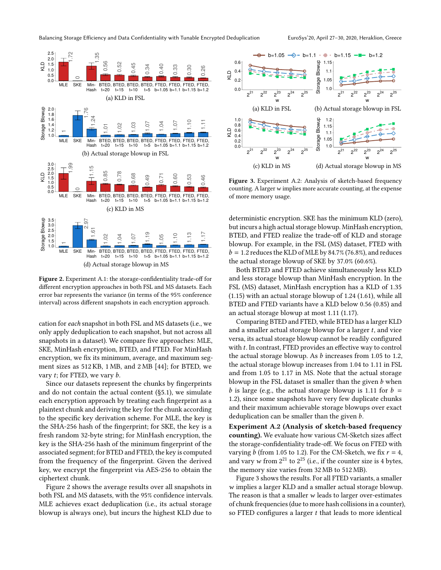<span id="page-8-0"></span>

KLD

Storage Blowup

KLD



Figure 2. Experiment A.1: the storage-confidentiality trade-off for different encryption approaches in both FSL and MS datasets. Each error bar represents the variance (in terms of the 95% conference interval) across different snapshots in each encryption approach.

cation for each snapshot in both FSL and MS datasets (i.e., we only apply deduplication to each snapshot, but not across all snapshots in a dataset). We compare five approaches: MLE, SKE, MinHash encryption, BTED, and FTED. For MinHash encryption, we fix its minimum, average, and maximum segment sizes as 512 KB, 1 MB, and 2 MB [\[44\]](#page-14-1); for BTED, we vary  $t$ ; for FTED, we vary  $b$ .

Since our datasets represent the chunks by fingerprints and do not contain the actual content ([§5.1\)](#page-7-1), we simulate each encryption approach by treating each fingerprint as a plaintext chunk and deriving the key for the chunk according to the specific key derivation scheme. For MLE, the key is the SHA-256 hash of the fingerprint; for SKE, the key is a fresh random 32-byte string; for MinHash encryption, the key is the SHA-256 hash of the minimum fingerprint of the associated segment; for BTED and FTED, the key is computed from the frequency of the fingerprint. Given the derived key, we encrypt the fingerprint via AES-256 to obtain the ciphertext chunk.

Figure [2](#page-8-0) shows the average results over all snapshots in both FSL and MS datasets, with the 95% confidence intervals. MLE achieves exact deduplication (i.e., its actual storage blowup is always one), but incurs the highest KLD due to

<span id="page-8-1"></span>

Figure 3. Experiment A.2: Analysis of sketch-based frequency counting. A larger  $w$  implies more accurate counting, at the expense of more memory usage.

deterministic encryption. SKE has the minimum KLD (zero), but incurs a high actual storage blowup. MinHash encryption, BTED, and FTED realize the trade-off of KLD and storage blowup. For example, in the FSL (MS) dataset, FTED with  $b = 1.2$  reduces the KLD of MLE by 84.7% (76.8%), and reduces the actual storage blowup of SKE by 37.0% (60.6%).

Both BTED and FTED achieve simultaneously less KLD and less storage blowup than MinHash encryption. In the FSL (MS) dataset, MinHash encryption has a KLD of 1.35 (1.15) with an actual storage blowup of 1.24 (1.61), while all BTED and FTED variants have a KLD below 0.56 (0.85) and an actual storage blowup at most 1.11 (1.17).

Comparing BTED and FTED, while BTED has a larger KLD and a smaller actual storage blowup for a larger  $t$ , and vice versa, its actual storage blowup cannot be readily configured with  $t$ . In contrast, FTED provides an effective way to control the actual storage blowup. As  $b$  increases from 1.05 to 1.2, the actual storage blowup increases from 1.04 to 1.11 in FSL and from 1.05 to 1.17 in MS. Note that the actual storage blowup in the FSL dataset is smaller than the given  $b$  when b is large (e.g., the actual storage blowup is 1.11 for  $b =$ 1.2), since some snapshots have very few duplicate chunks and their maximum achievable storage blowups over exact deduplication can be smaller than the given  $b$ .

Experiment A.2 (Analysis of sketch-based frequency counting). We evaluate how various CM-Sketch sizes affect the storage-confidentiality trade-off. We focus on FTED with varying *b* (from 1.05 to 1.2). For the CM-Sketch, we fix  $r = 4$ , and vary w from  $2^{21}$  to  $2^{25}$  (i.e., if the counter size is 4 bytes, the memory size varies from 32 MB to 512 MB).

Figure [3](#page-8-1) shows the results. For all FTED variants, a smaller  $w$  implies a larger KLD and a smaller actual storage blowup. The reason is that a smaller  $w$  leads to larger over-estimates of chunk frequencies (due to more hash collisions in a counter), so FTED configures a larger  $t$  that leads to more identical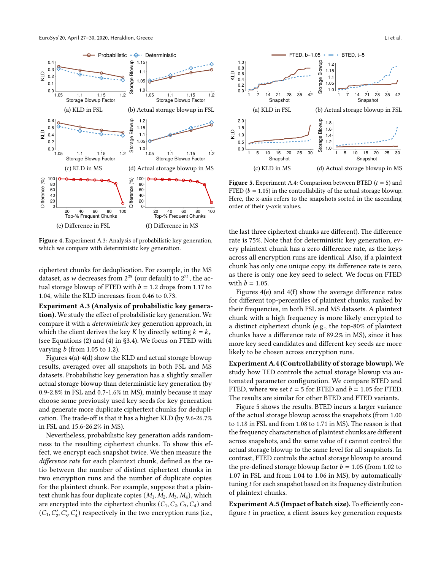<span id="page-9-0"></span>

Figure 4. Experiment A.3: Analysis of probabilistic key generation, which we compare with deterministic key generation.

ciphertext chunks for deduplication. For example, in the MS dataset, as w decreases from  $2^{25}$  (our default) to  $2^{21}$ , the actual storage blowup of FTED with  $b = 1.2$  drops from 1.17 to 1.04, while the KLD increases from 0.46 to 0.73.

Experiment A.3 (Analysis of probabilistic key generation). We study the effect of probabilistic key generation. We compare it with a deterministic key generation approach, in which the client derives the key K by directly setting  $k = k_x$ (see Equations [\(2\)](#page-5-1) and [\(4\)](#page-5-2) in [§3.4\)](#page-5-0). We focus on FTED with varying  *(from 1.05 to 1.2).* 

Figures [4\(](#page-9-0)a)[-4\(](#page-9-0)d) show the KLD and actual storage blowup results, averaged over all snapshots in both FSL and MS datasets. Probabilistic key generation has a slightly smaller actual storage blowup than deterministic key generation (by 0.9-2.8% in FSL and 0.7-1.6% in MS), mainly because it may choose some previously used key seeds for key generation and generate more duplicate ciphertext chunks for deduplication. The trade-off is that it has a higher KLD (by 9.6-26.7% in FSL and 15.6-26.2% in MS).

Nevertheless, probabilistic key generation adds randomness to the resulting ciphertext chunks. To show this effect, we encrypt each snapshot twice. We then measure the difference rate for each plaintext chunk, defined as the ratio between the number of distinct ciphertext chunks in two encryption runs and the number of duplicate copies for the plaintext chunk. For example, suppose that a plaintext chunk has four duplicate copies  $(M_1, M_2, M_3, M_4)$ , which are encrypted into the ciphertext chunks  $(C_1, C_2, C_3, C_4)$  and  $(C_1, C'_2, C'_3, C'_4)$ 

<span id="page-9-1"></span>

**Figure 5.** Experiment A.4: Comparison between BTED  $(t = 5)$  and FTED ( $b = 1.05$ ) in the controllability of the actual storage blowup. Here, the x-axis refers to the snapshots sorted in the ascending order of their y-axis values.

the last three ciphertext chunks are different). The difference rate is 75%. Note that for deterministic key generation, every plaintext chunk has a zero difference rate, as the keys across all encryption runs are identical. Also, if a plaintext chunk has only one unique copy, its difference rate is zero, as there is only one key seed to select. We focus on FTED with  $b = 1.05$ .

Figures [4\(](#page-9-0)e) and [4\(](#page-9-0)f) show the average difference rates for different top-percentiles of plaintext chunks, ranked by their frequencies, in both FSL and MS datasets. A plaintext chunk with a high frequency is more likely encrypted to a distinct ciphertext chunk (e.g., the top-80% of plaintext chunks have a difference rate of 89.2% in MS), since it has more key seed candidates and different key seeds are more likely to be chosen across encryption runs.

Experiment A.4 (Controllability of storage blowup). We study how TED controls the actual storage blowup via automated parameter configuration. We compare BTED and FTED, where we set  $t = 5$  for BTED and  $b = 1.05$  for FTED. The results are similar for other BTED and FTED variants.

Figure [5](#page-9-1) shows the results. BTED incurs a larger variance of the actual storage blowup across the snapshots (from 1.00 to 1.18 in FSL and from 1.08 to 1.71 in MS). The reason is that the frequency characteristics of plaintext chunks are different across snapshots, and the same value of  $t$  cannot control the actual storage blowup to the same level for all snapshots. In contrast, FTED controls the actual storage blowup to around the pre-defined storage blowup factor  $b = 1.05$  (from 1.02 to 1.07 in FSL and from 1.04 to 1.06 in MS), by automatically tuning t for each snapshot based on its frequency distribution of plaintext chunks.

Experiment A.5 (Impact of batch size). To efficiently configure  $t$  in practice, a client issues key generation requests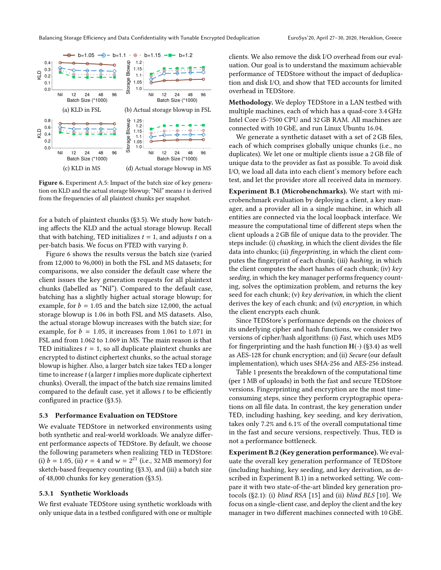<span id="page-10-1"></span>

Figure 6. Experiment A.5: Impact of the batch size of key generation on KLD and the actual storage blowup; "Nil" means  $t$  is derived from the frequencies of all plaintext chunks per snapshot.

for a batch of plaintext chunks ([§3.5\)](#page-5-3). We study how batching affects the KLD and the actual storage blowup. Recall that with batching, TED initializes  $t = 1$ , and adjusts  $t$  on a per-batch basis. We focus on FTED with varying  $b$ .

Figure [6](#page-10-1) shows the results versus the batch size (varied from 12,000 to 96,000) in both the FSL and MS datasets; for comparisons, we also consider the default case where the client issues the key generation requests for all plaintext chunks (labelled as "Nil"). Compared to the default case, batching has a slightly higher actual storage blowup; for example, for  $b = 1.05$  and the batch size 12,000, the actual storage blowup is 1.06 in both FSL and MS datasets. Also, the actual storage blowup increases with the batch size; for example, for  $b = 1.05$ , it increases from 1.061 to 1.071 in FSL and from 1.062 to 1.069 in MS. The main reason is that TED initializes  $t = 1$ , so all duplicate plaintext chunks are encrypted to distinct ciphertext chunks, so the actual storage blowup is higher. Also, a larger batch size takes TED a longer time to increase  $t$  (a larger  $t$  implies more duplicate ciphertext chunks). Overall, the impact of the batch size remains limited compared to the default case, yet it allows  $t$  to be efficiently configured in practice ([§3.5\)](#page-5-3).

#### <span id="page-10-0"></span>5.3 Performance Evaluation on TEDStore

We evaluate TEDStore in networked environments using both synthetic and real-world workloads. We analyze different performance aspects of TEDStore. By default, we choose the following parameters when realizing TED in TEDStore: (i)  $b = 1.05$ , (ii)  $r = 4$  and  $w = 2^{21}$  (i.e., 32 MB memory) for sketch-based frequency counting ([§3.3\)](#page-4-2), and (iii) a batch size of 48,000 chunks for key generation ([§3.5\)](#page-5-3).

#### 5.3.1 Synthetic Workloads

We first evaluate TEDStore using synthetic workloads with only unique data in a testbed configured with one or multiple clients. We also remove the disk I/O overhead from our evaluation. Our goal is to understand the maximum achievable performance of TEDStore without the impact of deduplication and disk I/O, and show that TED accounts for limited overhead in TEDStore.

Methodology. We deploy TEDStore in a LAN testbed with multiple machines, each of which has a quad-core 3.4 GHz Intel Core i5-7500 CPU and 32 GB RAM. All machines are connected with 10 GbE, and run Linux Ubuntu 16.04.

We generate a synthetic dataset with a set of 2 GB files, each of which comprises globally unique chunks (i.e., no duplicates). We let one or multiple clients issue a 2 GB file of unique data to the provider as fast as possible. To avoid disk I/O, we load all data into each client's memory before each test, and let the provider store all received data in memory.

Experiment B.1 (Microbenchmarks). We start with microbenchmark evaluation by deploying a client, a key manager, and a provider all in a single machine, in which all entities are connected via the local loopback interface. We measure the computational time of different steps when the client uploads a 2 GB file of unique data to the provider. The steps include: (i) chunking, in which the client divides the file data into chunks; (ii) *fingerprinting*, in which the client computes the fingerprint of each chunk; (iii) hashing, in which the client computes the short hashes of each chunk; (iv) key seeding, in which the key manager performs frequency counting, solves the optimization problem, and returns the key seed for each chunk; (v) key derivation, in which the client derives the key of each chunk; and (vi) encryption, in which the client encrypts each chunk.

Since TEDStore's performance depends on the choices of its underlying cipher and hash functions, we consider two versions of cipher/hash algorithms: (i) Fast, which uses MD5 for fingerprinting and the hash function  $H(\cdot)$  ([§3.4\)](#page-5-0) as well as AES-128 for chunk encryption; and (ii) Secure (our default implementation), which uses SHA-256 and AES-256 instead.

Table [1](#page-11-0) presents the breakdown of the computational time (per 1 MB of uploads) in both the fast and secure TEDStore versions. Fingerprinting and encryption are the most timeconsuming steps, since they perform cryptographic operations on all file data. In contrast, the key generation under TED, including hashing, key seeding, and key derivation, takes only 7.2% and 6.1% of the overall computational time in the fast and secure versions, respectively. Thus, TED is not a performance bottleneck.

Experiment B.2 (Key generation performance). We evaluate the overall key generation performance of TEDStore (including hashing, key seeding, and key derivation, as described in Experiment B.1) in a networked setting. We compare it with two state-of-the-art blinded key generation protocols  $(S2.1)$ : (i) *blind RSA* [\[15\]](#page-13-3) and (ii) *blind BLS* [\[10\]](#page-13-32). We focus on a single-client case, and deploy the client and the key manager in two different machines connected with 10 GbE.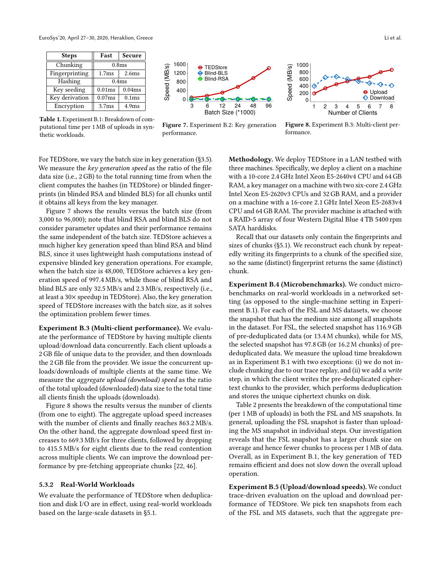<span id="page-11-0"></span>

| <b>Steps</b>   | Fast              | Secure            |
|----------------|-------------------|-------------------|
| Chunking       | 0.8 <sub>ms</sub> |                   |
| Fingerprinting | 1.7ms             | 2.6 <sub>ms</sub> |
| Hashing        | 0.4 <sub>ms</sub> |                   |
| Key seeding    | 0.01ms            | 0.04ms            |
| Key derivation | 0.07ms            | 0.1 <sub>ms</sub> |
| Encryption     | 3.7 <sub>ms</sub> | 4.9ms             |

Table 1. Experiment B.1: Breakdown of computational time per 1 MB of uploads in synthetic workloads.



Figure 7. Experiment B.2: Key generation performance.

Speed (MB/s) Speed (MB/s) **Download**  $\Omega$ 1 2 3 4 5 6 7 8 Number of Clients Figure 8. Experiment B.3: Multi-client per-

For TEDStore, we vary the batch size in key generation ([§3.5\)](#page-5-3). We measure the key generation speed as the ratio of the file data size (i.e., 2 GB) to the total running time from when the client computes the hashes (in TEDStore) or blinded fingerprints (in blinded RSA and blinded BLS) for all chunks until it obtains all keys from the key manager.

Figure [7](#page-11-0) shows the results versus the batch size (from 3,000 to 96,000); note that blind RSA and blind BLS do not consider parameter updates and their performance remains the same independent of the batch size. TEDStore achieves a much higher key generation speed than blind RSA and blind BLS, since it uses lightweight hash computations instead of expensive blinded key generation operations. For example, when the batch size is 48,000, TEDStore achieves a key generation speed of 997.4 MB/s, while those of blind RSA and blind BLS are only 32.5 MB/s and 2.3 MB/s, respectively (i.e., at least a 30× speedup in TEDStore). Also, the key generation speed of TEDStore increases with the batch size, as it solves the optimization problem fewer times.

Experiment B.3 (Multi-client performance). We evaluate the performance of TEDStore by having multiple clients upload/download data concurrently. Each client uploads a 2 GB file of unique data to the provider, and then downloads the 2 GB file from the provider. We issue the concurrent uploads/downloads of multiple clients at the same time. We measure the aggregate upload (download) speed as the ratio of the total uploaded (downloaded) data size to the total time all clients finish the uploads (downloads).

Figure [8](#page-11-0) shows the results versus the number of clients (from one to eight). The aggregate upload speed increases with the number of clients and finally reaches 863.2 MB/s. On the other hand, the aggregate download speed first increases to 669.3 MB/s for three clients, followed by dropping to 415.5 MB/s for eight clients due to the read contention across multiple clients. We can improve the download performance by pre-fetching appropriate chunks [\[22,](#page-13-33) [46\]](#page-14-22).

#### 5.3.2 Real-World Workloads

We evaluate the performance of TEDStore when deduplication and disk I/O are in effect, using real-world workloads based on the large-scale datasets in [§5.1.](#page-7-1)

Methodology. We deploy TEDStore in a LAN testbed with three machines. Specifically, we deploy a client on a machine with a 10-core 2.4 GHz Intel Xeon E5-2640v4 CPU and 64 GB RAM, a key manager on a machine with two six-core 2.4 GHz Intel Xeon E5-2620v3 CPUs and 32 GB RAM, and a provider on a machine with a 16-core 2.1 GHz Intel Xeon E5-2683v4 CPU and 64 GB RAM. The provider machine is attached with a RAID-5 array of four Western Digital Blue 4 TB 5400 rpm SATA harddisks.

formance.

Recall that our datasets only contain the fingerprints and sizes of chunks ([§5.1\)](#page-7-1). We reconstruct each chunk by repeatedly writing its fingerprints to a chunk of the specified size, so the same (distinct) fingerprint returns the same (distinct) chunk.

Experiment B.4 (Microbenchmarks). We conduct microbenchmarks on real-world workloads in a networked setting (as opposed to the single-machine setting in Experiment B.1). For each of the FSL and MS datasets, we choose the snapshot that has the medium size among all snapshots in the dataset. For FSL, the selected snapshot has 116.9 GB of pre-deduplicated data (or 13.4 M chunks), while for MS, the selected snapshot has 97.8 GB (or 16.2 M chunks) of prededuplicated data. We measure the upload time breakdown as in Experiment B.1 with two exceptions: (i) we do not include chunking due to our trace replay, and (ii) we add a write step, in which the client writes the pre-deduplicated ciphertext chunks to the provider, which performs deduplication and stores the unique ciphertext chunks on disk.

Table [2](#page-12-1) presents the breakdown of the computational time (per 1 MB of uploads) in both the FSL and MS snapshots. In general, uploading the FSL snapshot is faster than uploading the MS snapshot in individual steps. Our investigation reveals that the FSL snapshot has a larger chunk size on average and hence fewer chunks to process per 1 MB of data. Overall, as in Experiment B.1, the key generation of TED remains efficient and does not slow down the overall upload operation.

Experiment B.5 (Upload/download speeds). We conduct trace-driven evaluation on the upload and download performance of TEDStore. We pick ten snapshots from each of the FSL and MS datasets, such that the aggregate pre-

Upload

♦ €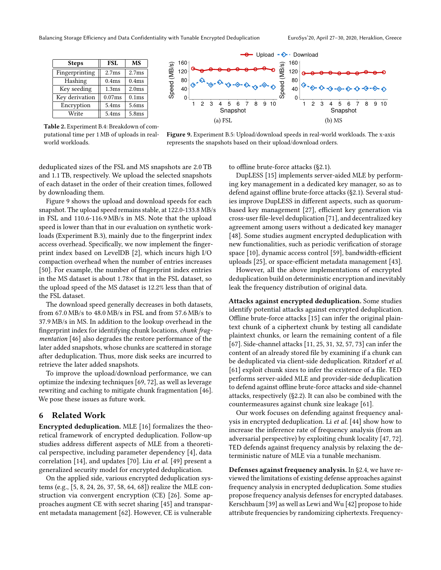<span id="page-12-1"></span>

| <b>Steps</b>   | FSL               | MS                |
|----------------|-------------------|-------------------|
| Fingerprinting | 2.7 <sub>ms</sub> | 2.7 <sub>ms</sub> |
| Hashing        | 0.4 <sub>ms</sub> | 0.4 <sub>ms</sub> |
| Key seeding    | 1.3 <sub>ms</sub> | 2.0 <sub>ms</sub> |
| Key derivation | 0.07ms            | 0.1 <sub>ms</sub> |
| Encryption     | 5.4ms             | 5.6ms             |
| Write          | 5.4ms             | 5.8ms             |

Table 2. Experiment B.4: Breakdown of computational time per 1 MB of uploads in realworld workloads.



Figure 9. Experiment B.5: Upload/download speeds in real-world workloads. The x-axis represents the snapshots based on their upload/download orders.

deduplicated sizes of the FSL and MS snapshots are 2.0 TB and 1.1 TB, respectively. We upload the selected snapshots of each dataset in the order of their creation times, followed by downloading them.

Figure [9](#page-12-1) shows the upload and download speeds for each snapshot. The upload speed remains stable, at 122.0-133.8 MB/s in FSL and 110.6-116.9 MB/s in MS. Note that the upload speed is lower than that in our evaluation on synthetic workloads (Experiment B.3), mainly due to the fingerprint index access overhead. Specifically, we now implement the fingerprint index based on LevelDB [\[2\]](#page-13-29), which incurs high I/O compaction overhead when the number of entries increases [\[50\]](#page-14-24). For example, the number of fingerprint index entries in the MS dataset is about 1.78× that in the FSL dataset, so the upload speed of the MS dataset is 12.2% less than that of the FSL dataset.

The download speed generally decreases in both datasets, from 67.0 MB/s to 48.0 MB/s in FSL and from 57.6 MB/s to 37.9 MB/s in MS. In addition to the lookup overhead in the fingerprint index for identifying chunk locations, chunk fragmentation [\[46\]](#page-14-22) also degrades the restore performance of the later added snapshots, whose chunks are scattered in storage after deduplication. Thus, more disk seeks are incurred to retrieve the later added snapshots.

To improve the upload/download performance, we can optimize the indexing techniques [\[69,](#page-14-25) [72\]](#page-14-6), as well as leverage rewriting and caching to mitigate chunk fragmentation [\[46\]](#page-14-22). We pose these issues as future work.

## <span id="page-12-0"></span>6 Related Work

Encrypted deduplication. MLE [\[16\]](#page-13-1) formalizes the theoretical framework of encrypted deduplication. Follow-up studies address different aspects of MLE from a theoretical perspective, including parameter dependency [\[4\]](#page-13-20), data correlation [\[14\]](#page-13-21), and updates [\[70\]](#page-14-26). Liu et al. [\[49\]](#page-14-27) present a generalized security model for encrypted deduplication.

On the applied side, various encrypted deduplication systems (e.g., [\[5,](#page-13-10) [8,](#page-13-11) [24,](#page-13-12) [26,](#page-13-2) [37,](#page-13-13) [58,](#page-14-8) [64,](#page-14-9) [68\]](#page-14-10)) realize the MLE construction via convergent encryption (CE) [\[26\]](#page-13-2). Some approaches augment CE with secret sharing [\[45\]](#page-14-14) and transparent metadata management [\[62\]](#page-14-28). However, CE is vulnerable

to offline brute-force attacks ([§2.1\)](#page-1-0).

DupLESS [\[15\]](#page-13-3) implements server-aided MLE by performing key management in a dedicated key manager, so as to defend against offline brute-force attacks ([§2.1\)](#page-1-0). Several studies improve DupLESS in different aspects, such as quorumbased key management [\[27\]](#page-13-30), efficient key generation via cross-user file-level deduplication [\[71\]](#page-14-29), and decentralized key agreement among users without a dedicated key manager [\[48\]](#page-14-30). Some studies augment encrypted deduplication with new functionalities, such as periodic verification of storage space [\[10\]](#page-13-32), dynamic access control [\[59\]](#page-14-31), bandwidth-efficient uploads [\[25\]](#page-13-34), or space-efficient metadata management [\[43\]](#page-14-32).

However, all the above implementations of encrypted deduplication build on deterministic encryption and inevitably leak the frequency distribution of original data.

Attacks against encrypted deduplication. Some studies identify potential attacks against encrypted deduplication. Offline brute-force attacks [\[15\]](#page-13-3) can infer the original plaintext chunk of a ciphertext chunk by testing all candidate plaintext chunks, or learn the remaining content of a file [\[67\]](#page-14-33). Side-channel attacks [\[11,](#page-13-35) [25,](#page-13-34) [31,](#page-13-36) [32,](#page-13-9) [57,](#page-14-34) [73\]](#page-14-35) can infer the content of an already stored file by examining if a chunk can be deduplicated via client-side deduplication. Ritzdorf et al. [\[61\]](#page-14-36) exploit chunk sizes to infer the existence of a file. TED performs server-aided MLE and provider-side deduplication to defend against offline brute-force attacks and side-channel attacks, respectively ([§2.2\)](#page-2-0). It can also be combined with the countermeasures against chunk size leakage [\[61\]](#page-14-36).

Our work focuses on defending against frequency analysis in encrypted deduplication. Li et al. [\[44\]](#page-14-1) show how to increase the inference rate of frequency analysis (from an adversarial perspective) by exploiting chunk locality [\[47,](#page-14-5) [72\]](#page-14-6). TED defends against frequency analysis by relaxing the deterministic nature of MLE via a tunable mechanism.

Defenses against frequency analysis. In [§2.4,](#page-3-0) we have reviewed the limitations of existing defense approaches against frequency analysis in encrypted deduplication. Some studies propose frequency analysis defenses for encrypted databases. Kerschbaum [\[39\]](#page-14-17) as well as Lewi and Wu [\[42\]](#page-14-19) propose to hide attribute frequencies by randomizing ciphertexts. Frequency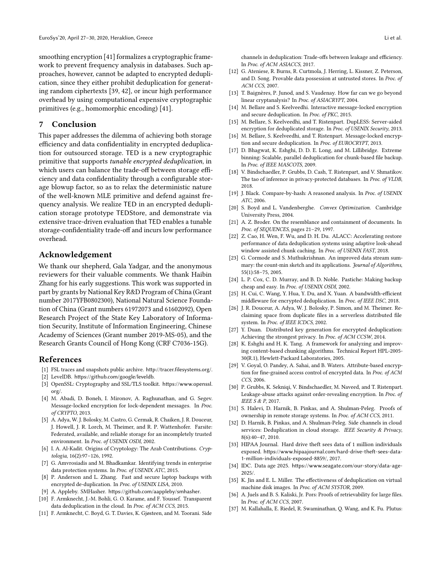smoothing encryption [\[41\]](#page-14-18) formalizes a cryptographic framework to prevent frequency analysis in databases. Such approaches, however, cannot be adapted to encrypted deduplication, since they either prohibit deduplication for generating random ciphertexts [\[39,](#page-14-17) [42\]](#page-14-19), or incur high performance overhead by using computational expensive cryptographic primitives (e.g., homomorphic encoding) [\[41\]](#page-14-18).

## 7 Conclusion

This paper addresses the dilemma of achieving both storage efficiency and data confidentiality in encrypted deduplication for outsourced storage. TED is a new cryptographic primitive that supports tunable encrypted deduplication, in which users can balance the trade-off between storage efficiency and data confidentiality through a configurable storage blowup factor, so as to relax the deterministic nature of the well-known MLE primitive and defend against frequency analysis. We realize TED in an encrypted deduplication storage prototype TEDStore, and demonstrate via extensive trace-driven evaluation that TED enables a tunable storage-confidentiality trade-off and incurs low performance overhead.

## Acknowledgement

We thank our shepherd, Gala Yadgar, and the anonymous reviewers for their valuable comments. We thank Haibin Zhang for his early suggestions. This work was supported in part by grants by National Key R&D Program of China (Grant number 2017YFB0802300), National Natural Science Foundation of China (Grant numbers 61972073 and 61602092), Open Research Project of the State Key Laboratory of Information Security, Institute of Information Engineering, Chinese Academy of Sciences (Grant number 2019-MS-05), and the Research Grants Council of Hong Kong (CRF C7036-15G).

## References

- <span id="page-13-5"></span>[1] FSL traces and snapshots public archive. <http://tracer.filesystems.org/>.
- <span id="page-13-29"></span>[2] LevelDB. <https://github.com/google/leveldb>.
- <span id="page-13-27"></span>[3] OpenSSL: Cryptography and SSL/TLS toolkit. [https://www.openssl.](https://www.openssl.org/) [org/](https://www.openssl.org/).
- <span id="page-13-20"></span>[4] M. Abadi, D. Boneh, I. Mironov, A. Raghunathan, and G. Segev. Message-locked encryption for lock-dependent messages. In Proc. of CRYPTO, 2013.
- <span id="page-13-10"></span>[5] A. Adya, W. J. Bolosky, M. Castro, G. Cermak, R. Chaiken, J. R. Douceur, J. Howell, J. R. Lorch, M. Theimer, and R. P. Wattenhofer. Farsite: Federated, available, and reliable storage for an incompletely trusted environment. In Proc. of USENIX OSDI, 2002.
- <span id="page-13-17"></span>[6] I. A. Al-Kadit. Origins of Cryptology: The Arab Contributions. Cryptologia, 16(2):97–126, 1992.
- <span id="page-13-24"></span>[7] G. Amvrosiadis and M. Bhadkamkar. Identifying trends in enterprise data protection systems. In Proc. of USENIX ATC, 2015.
- <span id="page-13-11"></span>[8] P. Anderson and L. Zhang. Fast and secure laptop backups with encrypted de-duplication. In Proc. of USENIX LISA, 2010.
- <span id="page-13-28"></span>[9] A. Appleby. SMHasher. <https://github.com/aappleby/smhasher>.
- <span id="page-13-32"></span>[10] F. Armknecht, J.-M. Bohli, G. O. Karame, and F. Youssef. Transparent data deduplication in the cloud. In Proc. of ACM CCS, 2015.
- <span id="page-13-35"></span>[11] F. Armknecht, C. Boyd, G. T. Davies, K. Gjøsteen, and M. Toorani. Side

channels in deduplication: Trade-offs between leakage and efficiency. In Proc. of ACM ASIACCS, 2017.

- <span id="page-13-18"></span>[12] G. Ateniese, R. Burns, R. Curtmola, J. Herring, L. Kissner, Z. Peterson, and D. Song. Provable data possession at untrusted stores. In Proc. of ACM CCS, 2007.
- <span id="page-13-26"></span>[13] T. Baignères, P. Junod, and S. Vaudenay. How far can we go beyond linear cryptanalysis? In Proc. of ASIACRYPT, 2004.
- <span id="page-13-21"></span>[14] M. Bellare and S. Keelveedhi. Interactive message-locked encryption and secure deduplication. In Proc. of PKC, 2015.
- <span id="page-13-3"></span>[15] M. Bellare, S. Keelveedhi, and T. Ristenpart. DupLESS: Server-aided encryption for deduplicated storage. In Proc. of USENIX Security, 2013.
- <span id="page-13-1"></span>[16] M. Bellare, S. Keelveedhi, and T. Ristenpart. Message-locked encryption and secure deduplication. In Proc. of EUROCRYPT, 2013.
- <span id="page-13-22"></span>[17] D. Bhagwat, K. Eshghi, D. D. E. Long, and M. Lillibridge. Extreme binning: Scalable, parallel deduplication for chunk-based file backup. In Proc. of IEEE MASCOTS, 2009.
- <span id="page-13-15"></span>[18] V. Bindschaedler, P. Grubbs, D. Cash, T. Ristenpart, and V. Shmatikov. The tao of inference in privacy-protected databases. In Proc. of VLDB, 2018.
- <span id="page-13-7"></span>[19] J. Black. Compare-by-hash: A reasoned analysis. In Proc. of USENIX ATC, 2006.
- <span id="page-13-25"></span>[20] S. Boyd and L. Vandenberghe. Convex Optimization. Cambridge University Press, 2004.
- <span id="page-13-23"></span>[21] A. Z. Broder. On the resemblance and containment of documents. In Proc. of SEQUENCES, pages 21–29, 1997.
- <span id="page-13-33"></span>[22] Z. Cao, H. Wen, F. Wu, and D. H. Du. ALACC: Accelerating restore performance of data deduplication systems using adaptive look-ahead window assisted chunk caching. In Proc. of USENIX FAST, 2018.
- <span id="page-13-4"></span>[23] G. Cormode and S. Muthukrishnan. An improved data stream summary: the count-min sketch and its applications. Journal of Algorithms, 55(1):58–75, 2005.
- <span id="page-13-12"></span>[24] L. P. Cox, C. D. Murray, and B. D. Noble. Pastiche: Making backup cheap and easy. In Proc. of USENIX OSDI, 2002.
- <span id="page-13-34"></span>[25] H. Cui, C. Wang, Y. Hua, Y. Du, and X. Yuan. A bandwidth-efficient middleware for encrypted deduplication. In Proc. of IEEE DSC, 2018.
- <span id="page-13-2"></span>[26] J. R. Douceur, A. Adya, W. J. Bolosky, P. Simon, and M. Theimer. Reclaiming space from duplicate files in a serverless distributed file system. In Proc. of IEEE ICDCS, 2002.
- <span id="page-13-30"></span>[27] Y. Duan. Distributed key generation for encrypted deduplication: Achieving the strongest privacy. In Proc. of ACM CCSW, 2014.
- <span id="page-13-6"></span>[28] K. Eshghi and H. K. Tang. A framework for analyzing and improving content-based chunking algorithms. Technical Report HPL-2005- 30(R.1), Hewlett-Packard Laboratories, 2005.
- <span id="page-13-31"></span>[29] V. Goyal, O. Pandey, A. Sahai, and B. Waters. Attribute-based encryption for fine-grained access control of encrypted data. In Proc. of ACM CCS, 2006.
- <span id="page-13-14"></span>[30] P. Grubbs, K. Sekniqi, V. Bindschaedler, M. Naveed, and T. Ristenpart. Leakage-abuse attacks against order-revealing encryption. In Proc. of IEEE S & P, 2017.
- <span id="page-13-36"></span>[31] S. Halevi, D. Harnik, B. Pinkas, and A. Shulman-Peleg. Proofs of ownership in remote storage systems. In Proc. of ACM CCS, 2011.
- <span id="page-13-9"></span>[32] D. Harnik, B. Pinkas, and A. Shulman-Peleg. Side channels in cloud services: Deduplication in cloud storage. IEEE Security & Privacy, 8(6):40–47, 2010.
- <span id="page-13-16"></span>[33] HIPAA Journal. Hard drive theft sees data of 1 million individuals exposed. [https://www.hipaajournal.com/hard-drive-theft-sees-data-](https://www.hipaajournal.com/hard-drive-theft-sees-data-1-million-individuals-exposed-8859/)[1-million-individuals-exposed-8859/](https://www.hipaajournal.com/hard-drive-theft-sees-data-1-million-individuals-exposed-8859/), 2017.
- <span id="page-13-0"></span>[34] IDC. Data age 2025. [https://www.seagate.com/our-story/data-age-](https://www.seagate.com/our-story/data-age-2025/)[2025/](https://www.seagate.com/our-story/data-age-2025/).
- <span id="page-13-8"></span>[35] K. Jin and E. L. Miller. The effectiveness of deduplication on virtual machine disk images. In Proc. of ACM SYSTOR, 2009.
- <span id="page-13-19"></span>[36] A. Juels and B. S. Kaliski, Jr. Pors: Proofs of retrievability for large files. In Proc. of ACM CCS, 2007.
- <span id="page-13-13"></span>[37] M. Kallahalla, E. Riedel, R. Swaminathan, Q. Wang, and K. Fu. Plutus: